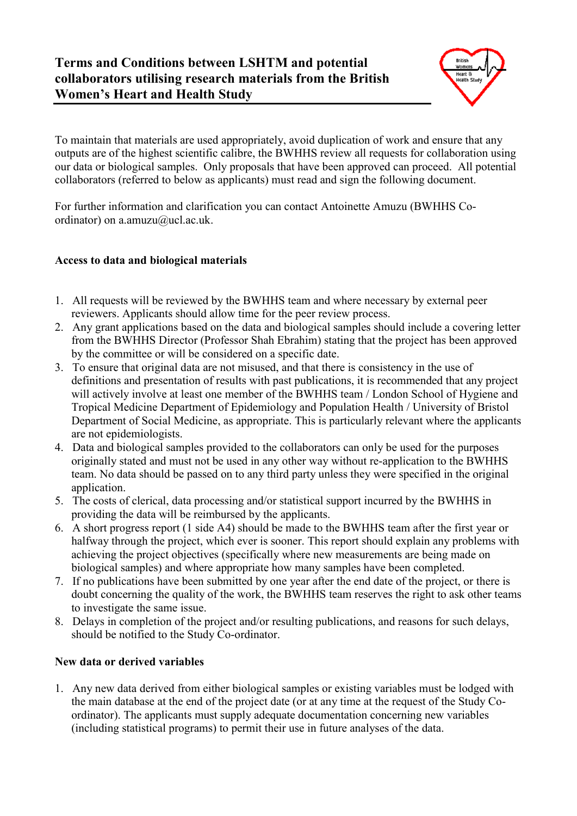## **Terms and Conditions between LSHTM and potential collaborators utilising research materials from the British Women's Heart and Health Study**



To maintain that materials are used appropriately, avoid duplication of work and ensure that any outputs are of the highest scientific calibre, the BWHHS review all requests for collaboration using our data or biological samples. Only proposals that have been approved can proceed. All potential collaborators (referred to below as applicants) must read and sign the following document.

For further information and clarification you can contact Antoinette Amuzu (BWHHS Coordinator) on a.amuzu@ucl.ac.uk.

## **Access to data and biological materials**

- 1. All requests will be reviewed by the BWHHS team and where necessary by external peer reviewers. Applicants should allow time for the peer review process.
- 2. Any grant applications based on the data and biological samples should include a covering letter from the BWHHS Director (Professor Shah Ebrahim) stating that the project has been approved by the committee or will be considered on a specific date.
- 3. To ensure that original data are not misused, and that there is consistency in the use of definitions and presentation of results with past publications, it is recommended that any project will actively involve at least one member of the BWHHS team / London School of Hygiene and Tropical Medicine Department of Epidemiology and Population Health / University of Bristol Department of Social Medicine, as appropriate. This is particularly relevant where the applicants are not epidemiologists.
- 4. Data and biological samples provided to the collaborators can only be used for the purposes originally stated and must not be used in any other way without re-application to the BWHHS team. No data should be passed on to any third party unless they were specified in the original application.
- 5. The costs of clerical, data processing and/or statistical support incurred by the BWHHS in providing the data will be reimbursed by the applicants.
- 6. A short progress report (1 side A4) should be made to the BWHHS team after the first year or halfway through the project, which ever is sooner. This report should explain any problems with achieving the project objectives (specifically where new measurements are being made on biological samples) and where appropriate how many samples have been completed.
- 7. If no publications have been submitted by one year after the end date of the project, or there is doubt concerning the quality of the work, the BWHHS team reserves the right to ask other teams to investigate the same issue.
- 8. Delays in completion of the project and/or resulting publications, and reasons for such delays, should be notified to the Study Co-ordinator.

## **New data or derived variables**

1. Any new data derived from either biological samples or existing variables must be lodged with the main database at the end of the project date (or at any time at the request of the Study Coordinator). The applicants must supply adequate documentation concerning new variables (including statistical programs) to permit their use in future analyses of the data.